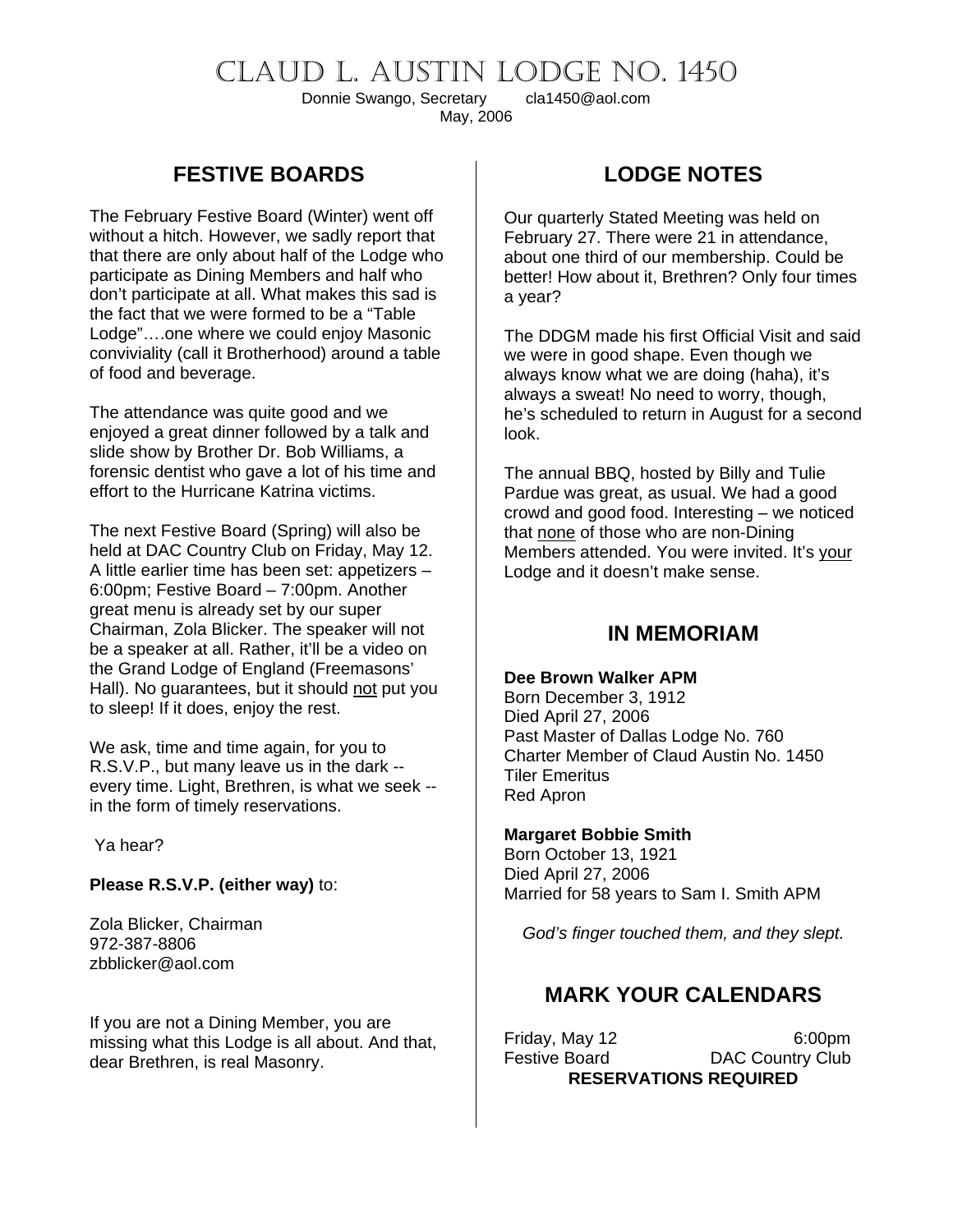# CLAUD L. AUSTIN LODGE NO. 1450

Donnie Swango, Secretary cla1450@aol.com May, 2006

### **FESTIVE BOARDS**

The February Festive Board (Winter) went off without a hitch. However, we sadly report that that there are only about half of the Lodge who participate as Dining Members and half who don't participate at all. What makes this sad is the fact that we were formed to be a "Table Lodge"….one where we could enjoy Masonic conviviality (call it Brotherhood) around a table of food and beverage.

The attendance was quite good and we enjoyed a great dinner followed by a talk and slide show by Brother Dr. Bob Williams, a forensic dentist who gave a lot of his time and effort to the Hurricane Katrina victims.

The next Festive Board (Spring) will also be held at DAC Country Club on Friday, May 12. A little earlier time has been set: appetizers – 6:00pm; Festive Board – 7:00pm. Another great menu is already set by our super Chairman, Zola Blicker. The speaker will not be a speaker at all. Rather, it'll be a video on the Grand Lodge of England (Freemasons' Hall). No guarantees, but it should not put you to sleep! If it does, enjoy the rest.

We ask, time and time again, for you to R.S.V.P., but many leave us in the dark - every time. Light, Brethren, is what we seek - in the form of timely reservations.

Ya hear?

#### **Please R.S.V.P. (either way)** to:

Zola Blicker, Chairman 972-387-8806 zbblicker@aol.com

If you are not a Dining Member, you are missing what this Lodge is all about. And that, dear Brethren, is real Masonry.

# **LODGE NOTES**

Our quarterly Stated Meeting was held on February 27. There were 21 in attendance, about one third of our membership. Could be better! How about it, Brethren? Only four times a year?

The DDGM made his first Official Visit and said we were in good shape. Even though we always know what we are doing (haha), it's always a sweat! No need to worry, though, he's scheduled to return in August for a second look.

The annual BBQ, hosted by Billy and Tulie Pardue was great, as usual. We had a good crowd and good food. Interesting – we noticed that none of those who are non-Dining Members attended. You were invited. It's your Lodge and it doesn't make sense.

### **IN MEMORIAM**

#### **Dee Brown Walker APM**

Born December 3, 1912 Died April 27, 2006 Past Master of Dallas Lodge No. 760 Charter Member of Claud Austin No. 1450 Tiler Emeritus Red Apron

#### **Margaret Bobbie Smith**

Born October 13, 1921 Died April 27, 2006 Married for 58 years to Sam I. Smith APM

*God's finger touched them, and they slept.* 

## **MARK YOUR CALENDARS**

Friday, May 12 6:00pm Festive Board **DAC Country Club RESERVATIONS REQUIRED**